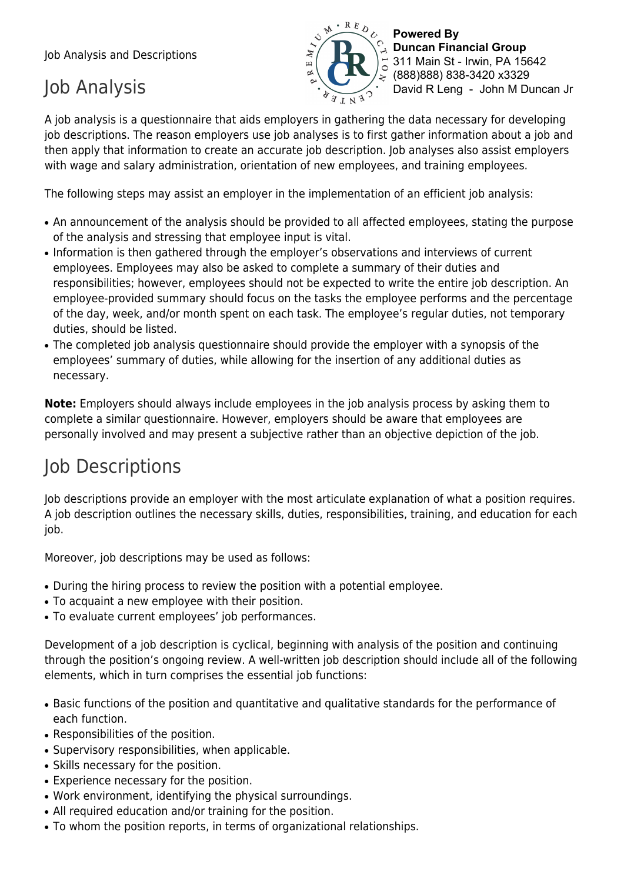Job Analysis and Descriptions

## Job Analysis



**Powered By Duncan Financial Group** 311 Main St - Irwin, PA 15642 (888)888) 838-3420 x3329 David R Leng - John M Duncan Jr

A job analysis is a questionnaire that aids employers in gathering the data necessary for developing job descriptions. The reason employers use job analyses is to first gather information about a job and then apply that information to create an accurate job description. Job analyses also assist employers with wage and salary administration, orientation of new employees, and training employees.

The following steps may assist an employer in the implementation of an efficient job analysis:

- An announcement of the analysis should be provided to all affected employees, stating the purpose of the analysis and stressing that employee input is vital.
- Information is then gathered through the employer's observations and interviews of current employees. Employees may also be asked to complete a summary of their duties and responsibilities; however, employees should not be expected to write the entire job description. An employee-provided summary should focus on the tasks the employee performs and the percentage of the day, week, and/or month spent on each task. The employee's regular duties, not temporary duties, should be listed.
- The completed job analysis questionnaire should provide the employer with a synopsis of the employees' summary of duties, while allowing for the insertion of any additional duties as necessary.

**Note:** Employers should always include employees in the job analysis process by asking them to complete a similar questionnaire. However, employers should be aware that employees are personally involved and may present a subjective rather than an objective depiction of the job.

# Job Descriptions

Job descriptions provide an employer with the most articulate explanation of what a position requires. A job description outlines the necessary skills, duties, responsibilities, training, and education for each job.

Moreover, job descriptions may be used as follows:

- During the hiring process to review the position with a potential employee.
- To acquaint a new employee with their position.
- To evaluate current employees' job performances.

Development of a job description is cyclical, beginning with analysis of the position and continuing through the position's ongoing review. A well-written job description should include all of the following elements, which in turn comprises the essential job functions:

- Basic functions of the position and quantitative and qualitative standards for the performance of each function.
- Responsibilities of the position.
- Supervisory responsibilities, when applicable.
- Skills necessary for the position.
- Experience necessary for the position.
- Work environment, identifying the physical surroundings.
- All required education and/or training for the position.
- To whom the position reports, in terms of organizational relationships.